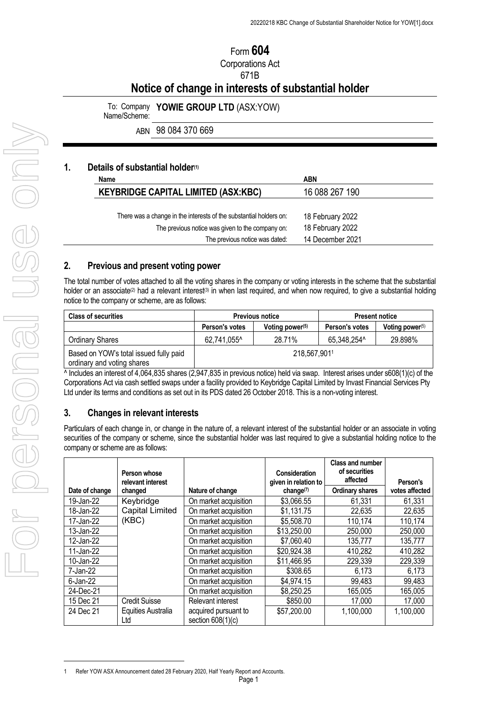# Form **604** Corporations Act 671B

**Notice of change in interests of substantial holder**

To: Company **YOWIE GROUP LTD** (ASX[:YOW](https://www.asx.com.au/asx/share-price-research/company/YOW)) Name/Scheme:

ABN 98 084 370 669

#### **1. Details of substantial holder(1)**

| Name                                                               | <b>ABN</b>       |
|--------------------------------------------------------------------|------------------|
| <b>KEYBRIDGE CAPITAL LIMITED (ASX:KBC)</b>                         | 16 088 267 190   |
|                                                                    |                  |
| There was a change in the interests of the substantial holders on: | 18 February 2022 |
| The previous notice was given to the company on:                   | 18 February 2022 |
| The previous notice was dated:                                     | 14 December 2021 |

#### **2. Previous and present voting power**

The total number of votes attached to all the voting shares in the company or voting interests in the scheme that the substantial holder or an associate<sup>(2)</sup> had a relevant interest<sup>(3)</sup> in when last required, and when now required, to give a substantial holding notice to the company or scheme, are as follows:

| <b>Class of securities</b>                                           | <b>Previous notice</b> |                    | <b>Present notice</b> |                    |
|----------------------------------------------------------------------|------------------------|--------------------|-----------------------|--------------------|
|                                                                      | Person's votes         | Voting power $(5)$ | Person's votes        | Voting power $(5)$ |
| Ordinary Shares                                                      | 62,741,055^            | 28.71%             | 65,348,254^           | 29.898%            |
| Based on YOW's total issued fully paid<br>ordinary and voting shares | 218,567,9011           |                    |                       |                    |

 $\overline{\wedge}$  Includes an interest of 4,064,835 shares (2,947,835 in previous notice) held via swap. Interest arises under s608(1)(c) of the Corporations Act via cash settled swaps under a facility provided to Keybridge Capital Limited by Invast Financial Services Pty Ltd under its terms and conditions as set out in its PDS dated 26 October 2018. This is a non-voting interest.

# **3. Changes in relevant interests**

Particulars of each change in, or change in the nature of, a relevant interest of the substantial holder or an associate in voting securities of the company or scheme, since the substantial holder was last required to give a substantial holding notice to the company or scheme are as follows:

|                | Person whose<br>relevant interest |                                             | Consideration<br>given in relation to | <b>Class and number</b><br>of securities<br>affected | Person's       |
|----------------|-----------------------------------|---------------------------------------------|---------------------------------------|------------------------------------------------------|----------------|
| Date of change | changed                           | Nature of change                            | change <sup>(7)</sup>                 | <b>Ordinary shares</b>                               | votes affected |
| 19-Jan-22      | Keybridge                         | On market acquisition                       | \$3,066.55                            | 61,331                                               | 61,331         |
| 18-Jan-22      | <b>Capital Limited</b>            | On market acquisition                       | \$1,131.75                            | 22,635                                               | 22,635         |
| 17-Jan-22      | (KBC)                             | On market acquisition                       | \$5,508.70                            | 110,174                                              | 110,174        |
| 13-Jan-22      |                                   | On market acquisition                       | \$13,250.00                           | 250,000                                              | 250,000        |
| 12-Jan-22      |                                   | On market acquisition                       | \$7,060.40                            | 135,777                                              | 135,777        |
| 11-Jan-22      |                                   | On market acquisition                       | \$20,924.38                           | 410,282                                              | 410,282        |
| 10-Jan-22      |                                   | On market acquisition                       | \$11,466.95                           | 229,339                                              | 229,339        |
| 7-Jan-22       |                                   | On market acquisition                       | \$308.65                              | 6,173                                                | 6,173          |
| $6$ -Jan-22    |                                   | On market acquisition                       | \$4,974.15                            | 99,483                                               | 99,483         |
| 24-Dec-21      |                                   | On market acquisition                       | \$8,250.25                            | 165,005                                              | 165,005        |
| 15 Dec 21      | <b>Credit Suisse</b>              | <b>Relevant interest</b>                    | \$850.00                              | 17,000                                               | 17,000         |
| 24 Dec 21      | Equities Australia<br>Ltd         | acquired pursuant to<br>section $608(1)(c)$ | \$57,200.00                           | 1,100,000                                            | 1,100,000      |

<sup>1</sup> Refer YOW ASX Announcement dated 28 February 2020, Half Yearly Report and Accounts.